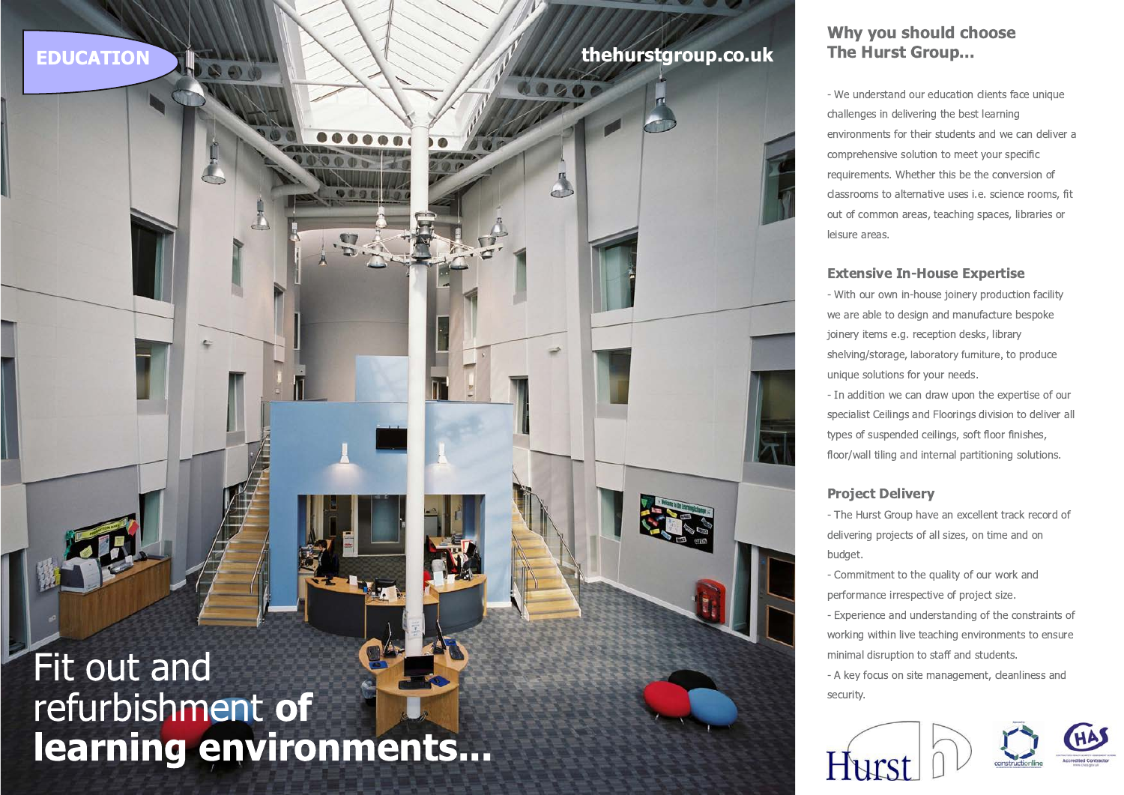## **EDUCATION**

# thehurstgroup.co.uk

# Fit out and refurbishment of learning environments...

### Why you should choose **The Hurst Group...**

- We understand our education clients face unique challenges in delivering the best learning environments for their students and we can deliver a comprehensive solution to meet your specific requirements. Whether this be the conversion of classrooms to alternative uses i.e. science rooms, fit out of common areas, teaching spaces, libraries or leisure areas.

#### **Extensive In-House Expertise**

- With our own in-house joinery production facility we are able to design and manufacture bespoke joinery items e.g. reception desks, library shelving/storage, laboratory furniture, to produce unique solutions for your needs.

- In addition we can draw upon the expertise of our specialist Ceilings and Floorings division to deliver all types of suspended ceilings, soft floor finishes, floor/wall tiling and internal partitioning solutions.

#### **Project Deliverv**

- The Hurst Group have an excellent track record of delivering projects of all sizes, on time and on budget.

- Commitment to the quality of our work and performance irrespective of project size.

- Experience and understanding of the constraints of working within live teaching environments to ensure minimal disruption to staff and students.

- A key focus on site management, cleanliness and security.